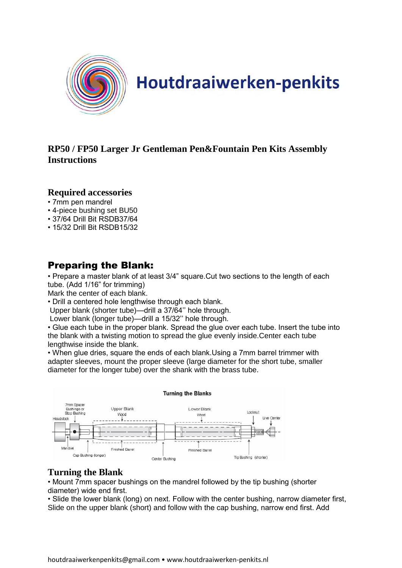

# Houtdraaiwerken-penkits

#### **RP50 / FP50 Larger Jr Gentleman Pen&Fountain Pen Kits Assembly Instructions**

#### **Required accessories**

- 7mm pen mandrel
- 4-piece bushing set BU50
- 37/64 Drill Bit RSDB37/64
- 15/32 Drill Bit RSDB15/32

## Preparing the Blank:

• Prepare a master blank of at least 3/4" square.Cut two sections to the length of each tube. (Add 1/16" for trimming)

Mark the center of each blank.

• Drill a centered hole lengthwise through each blank.

Upper blank (shorter tube)—drill a 37/64'' hole through.

Lower blank (longer tube)—drill a 15/32'' hole through.

• Glue each tube in the proper blank. Spread the glue over each tube. Insert the tube into the blank with a twisting motion to spread the glue evenly inside.Center each tube lengthwise inside the blank.

• When glue dries, square the ends of each blank.Using a 7mm barrel trimmer with adapter sleeves, mount the proper sleeve (large diameter for the short tube, smaller diameter for the longer tube) over the shank with the brass tube.



#### **Turning the Blank**

• Mount 7mm spacer bushings on the mandrel followed by the tip bushing (shorter diameter) wide end first.

• Slide the lower blank (long) on next. Follow with the center bushing, narrow diameter first, Slide on the upper blank (short) and follow with the cap bushing, narrow end first. Add